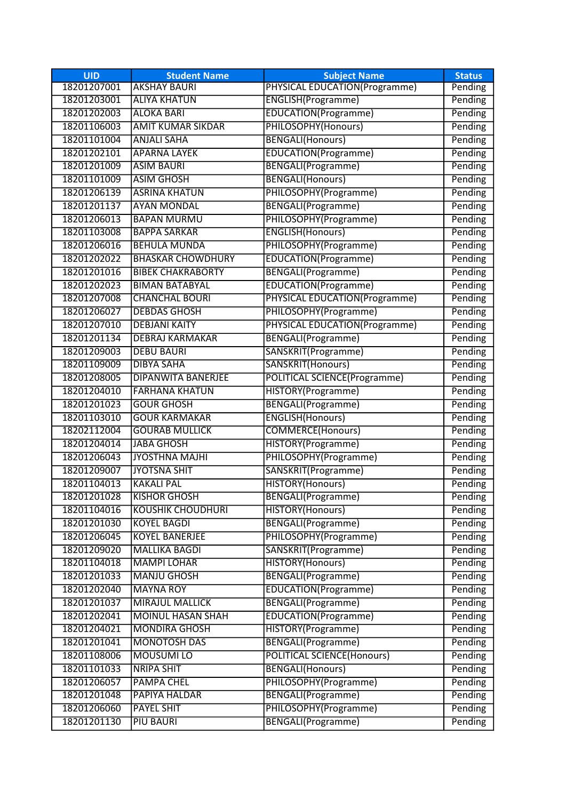| <b>UID</b>  | <b>Student Name</b>       | <b>Subject Name</b>                  | <b>Status</b> |
|-------------|---------------------------|--------------------------------------|---------------|
| 18201207001 | <b>AKSHAY BAURI</b>       | PHYSICAL EDUCATION(Programme)        | Pending       |
| 18201203001 | <b>ALIYA KHATUN</b>       | ENGLISH(Programme)                   | Pending       |
| 18201202003 | <b>ALOKA BARI</b>         | EDUCATION(Programme)                 | Pending       |
| 18201106003 | <b>AMIT KUMAR SIKDAR</b>  | PHILOSOPHY(Honours)                  | Pending       |
| 18201101004 | <b>ANJALI SAHA</b>        | <b>BENGALI(Honours)</b>              | Pending       |
| 18201202101 | <b>APARNA LAYEK</b>       | EDUCATION(Programme)                 | Pending       |
| 18201201009 | <b>ASIM BAURI</b>         | <b>BENGALI(Programme)</b>            | Pending       |
| 18201101009 | <b>ASIM GHOSH</b>         | <b>BENGALI(Honours)</b>              | Pending       |
| 18201206139 | <b>ASRINA KHATUN</b>      | PHILOSOPHY(Programme)                | Pending       |
| 18201201137 | <b>AYAN MONDAL</b>        | <b>BENGALI(Programme)</b>            | Pending       |
| 18201206013 | <b>BAPAN MURMU</b>        | PHILOSOPHY(Programme)                | Pending       |
| 18201103008 | <b>BAPPA SARKAR</b>       | <b>ENGLISH(Honours)</b>              | Pending       |
| 18201206016 | <b>BEHULA MUNDA</b>       | PHILOSOPHY(Programme)                | Pending       |
| 18201202022 | <b>BHASKAR CHOWDHURY</b>  | EDUCATION(Programme)                 | Pending       |
| 18201201016 | <b>BIBEK CHAKRABORTY</b>  | <b>BENGALI(Programme)</b>            | Pending       |
| 18201202023 | <b>BIMAN BATABYAL</b>     | EDUCATION(Programme)                 | Pending       |
| 18201207008 | <b>CHANCHAL BOURI</b>     | PHYSICAL EDUCATION(Programme)        | Pending       |
| 18201206027 | <b>DEBDAS GHOSH</b>       | PHILOSOPHY(Programme)                | Pending       |
| 18201207010 | <b>DEBJANI KAITY</b>      | <b>PHYSICAL EDUCATION(Programme)</b> | Pending       |
| 18201201134 | <b>DEBRAJ KARMAKAR</b>    | <b>BENGALI(Programme)</b>            | Pending       |
| 18201209003 | <b>DEBU BAURI</b>         | SANSKRIT(Programme)                  | Pending       |
| 18201109009 | <b>DIBYA SAHA</b>         | SANSKRIT(Honours)                    | Pending       |
| 18201208005 | <b>DIPANWITA BANERJEE</b> | <b>POLITICAL SCIENCE(Programme)</b>  | Pending       |
| 18201204010 | <b>FARHANA KHATUN</b>     | HISTORY(Programme)                   | Pending       |
| 18201201023 | <b>GOUR GHOSH</b>         | BENGALI(Programme)                   | Pending       |
| 18201103010 | <b>GOUR KARMAKAR</b>      | <b>ENGLISH(Honours)</b>              | Pending       |
| 18202112004 | <b>GOURAB MULLICK</b>     | <b>COMMERCE(Honours)</b>             | Pending       |
| 18201204014 | <b>JABA GHOSH</b>         | HISTORY(Programme)                   | Pending       |
| 18201206043 | <b>JYOSTHNA MAJHI</b>     | PHILOSOPHY(Programme)                | Pending       |
| 18201209007 | <b>JYOTSNA SHIT</b>       | SANSKRIT(Programme)                  | Pending       |
| 18201104013 | <b>KAKALI PAL</b>         | HISTORY(Honours)                     | Pending       |
| 18201201028 | <b>KISHOR GHOSH</b>       | BENGALI(Programme)                   | Pending       |
| 18201104016 | <b>KOUSHIK CHOUDHURI</b>  | HISTORY(Honours)                     | Pending       |
| 18201201030 | <b>KOYEL BAGDI</b>        | <b>BENGALI(Programme)</b>            | Pending       |
| 18201206045 | <b>KOYEL BANERJEE</b>     | PHILOSOPHY(Programme)                | Pending       |
| 18201209020 | <b>MALLIKA BAGDI</b>      | SANSKRIT(Programme)                  | Pending       |
| 18201104018 | <b>MAMPI LOHAR</b>        | HISTORY(Honours)                     | Pending       |
| 18201201033 | <b>MANJU GHOSH</b>        | <b>BENGALI(Programme)</b>            | Pending       |
| 18201202040 | <b>MAYNA ROY</b>          | EDUCATION(Programme)                 | Pending       |
| 18201201037 | <b>MIRAJUL MALLICK</b>    | <b>BENGALI(Programme)</b>            | Pending       |
| 18201202041 | <b>MOINUL HASAN SHAH</b>  | EDUCATION(Programme)                 | Pending       |
| 18201204021 | <b>MONDIRA GHOSH</b>      | HISTORY(Programme)                   | Pending       |
| 18201201041 | <b>MONOTOSH DAS</b>       | <b>BENGALI(Programme)</b>            | Pending       |
| 18201108006 | <b>MOUSUMI LO</b>         | <b>POLITICAL SCIENCE(Honours)</b>    | Pending       |
| 18201101033 | <b>NRIPA SHIT</b>         | <b>BENGALI(Honours)</b>              | Pending       |
| 18201206057 | <b>PAMPA CHEL</b>         | PHILOSOPHY(Programme)                | Pending       |
| 18201201048 | PAPIYA HALDAR             | <b>BENGALI(Programme)</b>            | Pending       |
| 18201206060 | <b>PAYEL SHIT</b>         | PHILOSOPHY(Programme)                | Pending       |
| 18201201130 | <b>PIU BAURI</b>          | BENGALI(Programme)                   | Pending       |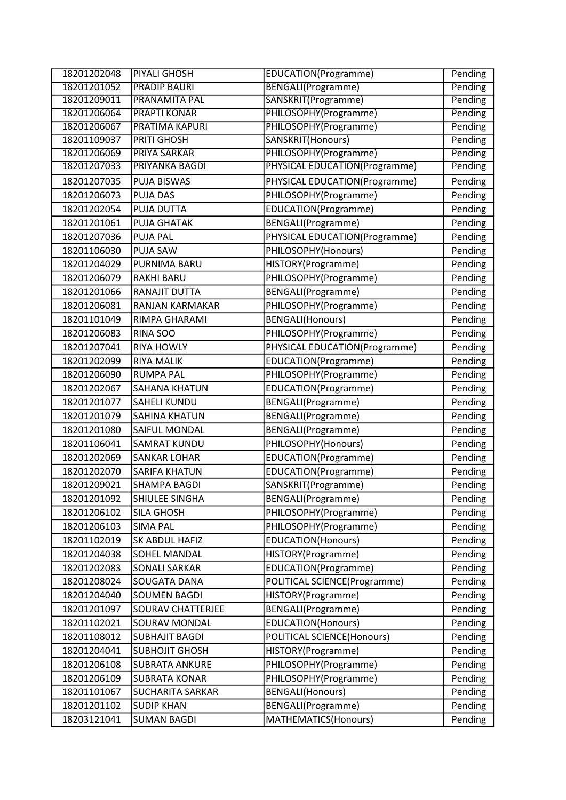| 18201202048 | <b>PIYALI GHOSH</b>                  | EDUCATION(Programme)          | Pending |
|-------------|--------------------------------------|-------------------------------|---------|
| 18201201052 | <b>PRADIP BAURI</b>                  | <b>BENGALI(Programme)</b>     | Pending |
| 18201209011 | <b>PRANAMITA PAL</b>                 | SANSKRIT(Programme)           | Pending |
| 18201206064 | <b>PRAPTI KONAR</b>                  | PHILOSOPHY(Programme)         | Pending |
| 18201206067 | <b>PRATIMA KAPURI</b>                | PHILOSOPHY(Programme)         | Pending |
| 18201109037 | <b>PRITI GHOSH</b>                   | SANSKRIT(Honours)             | Pending |
| 18201206069 | <b>PRIYA SARKAR</b>                  | PHILOSOPHY(Programme)         | Pending |
| 18201207033 | PRIYANKA BAGDI                       | PHYSICAL EDUCATION(Programme) | Pending |
| 18201207035 | <b>PUJA BISWAS</b>                   | PHYSICAL EDUCATION(Programme) | Pending |
| 18201206073 | <b>PUJA DAS</b>                      | PHILOSOPHY(Programme)         | Pending |
| 18201202054 | PUJA DUTTA                           | EDUCATION(Programme)          | Pending |
| 18201201061 | <b>PUJA GHATAK</b>                   | BENGALI(Programme)            | Pending |
| 18201207036 | <b>PUJA PAL</b>                      | PHYSICAL EDUCATION(Programme) | Pending |
| 18201106030 | <b>PUJA SAW</b>                      | PHILOSOPHY(Honours)           | Pending |
| 18201204029 | PURNIMA BARU                         | HISTORY(Programme)            | Pending |
| 18201206079 | <b>RAKHI BARU</b>                    | PHILOSOPHY(Programme)         | Pending |
| 18201201066 | RANAJIT DUTTA                        | BENGALI(Programme)            | Pending |
| 18201206081 | RANJAN KARMAKAR                      | PHILOSOPHY(Programme)         | Pending |
| 18201101049 | RIMPA GHARAMI                        | <b>BENGALI(Honours)</b>       | Pending |
| 18201206083 | RINA SOO                             | PHILOSOPHY(Programme)         | Pending |
| 18201207041 | <b>RIYA HOWLY</b>                    | PHYSICAL EDUCATION(Programme) | Pending |
| 18201202099 | <b>RIYA MALIK</b>                    | EDUCATION(Programme)          | Pending |
| 18201206090 | <b>RUMPA PAL</b>                     | PHILOSOPHY(Programme)         | Pending |
| 18201202067 | SAHANA KHATUN                        | EDUCATION(Programme)          | Pending |
| 18201201077 | <b>SAHELI KUNDU</b>                  | BENGALI(Programme)            | Pending |
| 18201201079 | <b>SAHINA KHATUN</b>                 | BENGALI(Programme)            | Pending |
| 18201201080 | SAIFUL MONDAL                        | BENGALI(Programme)            | Pending |
| 18201106041 | <b>SAMRAT KUNDU</b>                  | PHILOSOPHY(Honours)           | Pending |
| 18201202069 | <b>SANKAR LOHAR</b>                  | EDUCATION(Programme)          | Pending |
| 18201202070 | <b>SARIFA KHATUN</b>                 | EDUCATION(Programme)          | Pending |
| 18201209021 | <b>SHAMPA BAGDI</b>                  | SANSKRIT(Programme)           | Pending |
| 18201201092 | SHIULEE SINGHA                       | BENGALI(Programme)            | Pending |
| 18201206102 | <b>SILA GHOSH</b>                    | PHILOSOPHY(Programme)         | Pending |
| 18201206103 | <b>SIMA PAL</b>                      | PHILOSOPHY(Programme)         | Pending |
| 18201102019 | SK ABDUL HAFIZ                       | <b>EDUCATION(Honours)</b>     | Pending |
| 18201204038 |                                      |                               |         |
| 18201202083 | SOHEL MANDAL<br><b>SONALI SARKAR</b> | HISTORY(Programme)            | Pending |
|             |                                      | EDUCATION(Programme)          | Pending |
| 18201208024 | SOUGATA DANA                         | POLITICAL SCIENCE(Programme)  | Pending |
| 18201204040 | <b>SOUMEN BAGDI</b>                  | HISTORY(Programme)            | Pending |
| 18201201097 | SOURAV CHATTERJEE                    | BENGALI(Programme)            | Pending |
| 18201102021 | SOURAV MONDAL                        | EDUCATION(Honours)            | Pending |
| 18201108012 | <b>SUBHAJIT BAGDI</b>                | POLITICAL SCIENCE(Honours)    | Pending |
| 18201204041 | <b>SUBHOJIT GHOSH</b>                | HISTORY(Programme)            | Pending |
| 18201206108 | <b>SUBRATA ANKURE</b>                | PHILOSOPHY(Programme)         | Pending |
| 18201206109 | <b>SUBRATA KONAR</b>                 | PHILOSOPHY(Programme)         | Pending |
| 18201101067 | <b>SUCHARITA SARKAR</b>              | <b>BENGALI(Honours)</b>       | Pending |
| 18201201102 | <b>SUDIP KHAN</b>                    | BENGALI(Programme)            | Pending |
| 18203121041 | <b>SUMAN BAGDI</b>                   | MATHEMATICS(Honours)          | Pending |